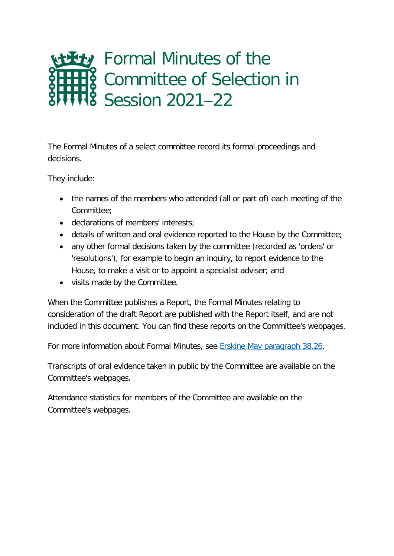# **Ety** Formal Minutes of the Committee of Selection in Session 2021−22

The Formal Minutes of a select committee record its formal proceedings and decisions.

They include:

- the names of the members who attended (all or part of) each meeting of the Committee;
- declarations of members' interests;
- details of written and oral evidence reported to the House by the Committee;
- any other formal decisions taken by the committee (recorded as 'orders' or 'resolutions'), for example to begin an inquiry, to report evidence to the House, to make a visit or to appoint a specialist adviser; and
- visits made by the Committee.

When the Committee publishes a Report, the Formal Minutes relating to consideration of the draft Report are published with the Report itself, and are not included in this document. You can find these reports on the Committee's webpages.

For more information about Formal Minutes, see [Erskine May paragraph 38.26.](https://erskinemay.parliament.uk/section/5907/formal-minutes/)

Transcripts of oral evidence taken in public by the Committee are available on the Committee's webpages.

Attendance statistics for members of the Committee are available on the Committee's webpages.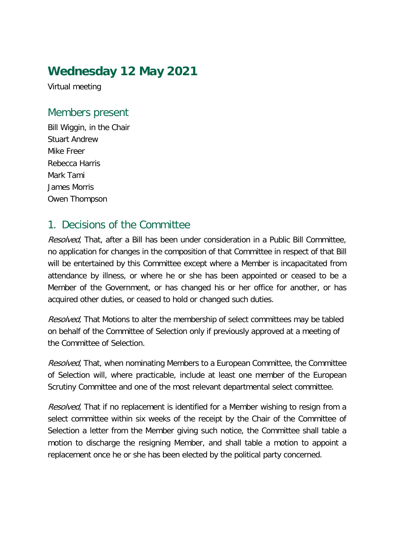### **Wednesday 12 May 2021**

Virtual meeting

#### Members present

Bill Wiggin, in the Chair Stuart Andrew Mike Freer Rebecca Harris Mark Tami James Morris Owen Thompson

#### 1. Decisions of the Committee

Resolved, That, after a Bill has been under consideration in a Public Bill Committee, no application for changes in the composition of that Committee in respect of that Bill will be entertained by this Committee except where a Member is incapacitated from attendance by illness, or where he or she has been appointed or ceased to be a Member of the Government, or has changed his or her office for another, or has acquired other duties, or ceased to hold or changed such duties.

Resolved, That Motions to alter the membership of select committees may be tabled on behalf of the Committee of Selection only if previously approved at a meeting of the Committee of Selection.

Resolved, That, when nominating Members to a European Committee, the Committee of Selection will, where practicable, include at least one member of the European Scrutiny Committee and one of the most relevant departmental select committee.

Resolved, That if no replacement is identified for a Member wishing to resign from a select committee within six weeks of the receipt by the Chair of the Committee of Selection a letter from the Member giving such notice, the Committee shall table a motion to discharge the resigning Member, and shall table a motion to appoint a replacement once he or she has been elected by the political party concerned.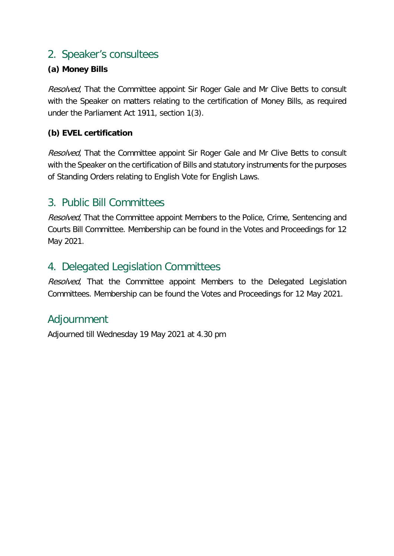#### 2. Speaker's consultees

#### **(a) Money Bills**

Resolved, That the Committee appoint Sir Roger Gale and Mr Clive Betts to consult with the Speaker on matters relating to the certification of Money Bills, as required under the Parliament Act 1911, section 1(3).

#### **(b) EVEL certification**

Resolved, That the Committee appoint Sir Roger Gale and Mr Clive Betts to consult with the Speaker on the certification of Bills and statutory instruments for the purposes of Standing Orders relating to English Vote for English Laws.

#### 3. Public Bill Committees

Resolved, That the Committee appoint Members to the Police, Crime, Sentencing and Courts Bill Committee. Membership can be found in the Votes and Proceedings for 12 May 2021.

#### 4. Delegated Legislation Committees

Resolved, That the Committee appoint Members to the Delegated Legislation Committees. Membership can be found the Votes and Proceedings for 12 May 2021.

#### Adjournment

Adjourned till Wednesday 19 May 2021 at 4.30 pm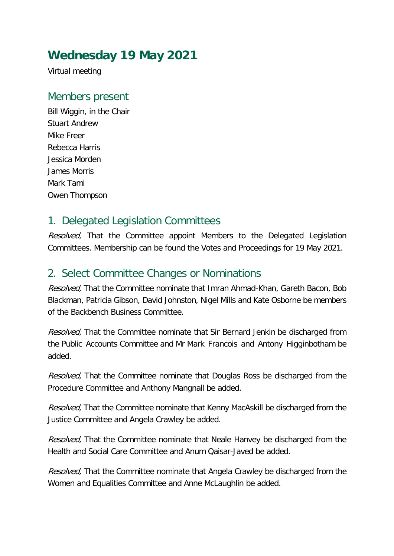## **Wednesday 19 May 2021**

Virtual meeting

#### Members present

Bill Wiggin, in the Chair Stuart Andrew Mike Freer Rebecca Harris Jessica Morden James Morris Mark Tami Owen Thompson

### 1. Delegated Legislation Committees

Resolved, That the Committee appoint Members to the Delegated Legislation Committees. Membership can be found the Votes and Proceedings for 19 May 2021.

#### 2. Select Committee Changes or Nominations

Resolved, That the Committee nominate that Imran Ahmad-Khan, Gareth Bacon, Bob Blackman, Patricia Gibson, David Johnston, Nigel Mills and Kate Osborne be members of the Backbench Business Committee.

Resolved, That the Committee nominate that Sir Bernard Jenkin be discharged from the Public Accounts Committee and Mr Mark Francois and Antony Higginbotham be added.

Resolved, That the Committee nominate that Douglas Ross be discharged from the Procedure Committee and Anthony Mangnall be added.

Resolved, That the Committee nominate that Kenny MacAskill be discharged from the Justice Committee and Angela Crawley be added.

Resolved, That the Committee nominate that Neale Hanvey be discharged from the Health and Social Care Committee and Anum Qaisar-Javed be added.

Resolved, That the Committee nominate that Angela Crawley be discharged from the Women and Equalities Committee and Anne McLaughlin be added.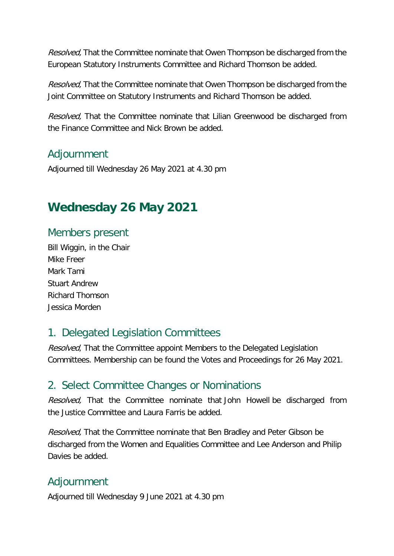Resolved, That the Committee nominate that Owen Thompson be discharged from the European Statutory Instruments Committee and Richard Thomson be added.

Resolved, That the Committee nominate that Owen Thompson be discharged from the Joint Committee on Statutory Instruments and Richard Thomson be added.

Resolved, That the Committee nominate that Lilian Greenwood be discharged from the Finance Committee and Nick Brown be added.

#### Adjournment

Adjourned till Wednesday 26 May 2021 at 4.30 pm

### **Wednesday 26 May 2021**

#### Members present

Bill Wiggin, in the Chair Mike Freer Mark Tami Stuart Andrew Richard Thomson Jessica Morden

#### 1. Delegated Legislation Committees

Resolved, That the Committee appoint Members to the Delegated Legislation Committees. Membership can be found the Votes and Proceedings for 26 May 2021.

#### 2. Select Committee Changes or Nominations

Resolved, That the Committee nominate that John Howell be discharged from the Justice Committee and Laura Farris be added.

Resolved, That the Committee nominate that Ben Bradley and Peter Gibson be discharged from the Women and Equalities Committee and Lee Anderson and Philip Davies be added.

#### Adjournment

Adjourned till Wednesday 9 June 2021 at 4.30 pm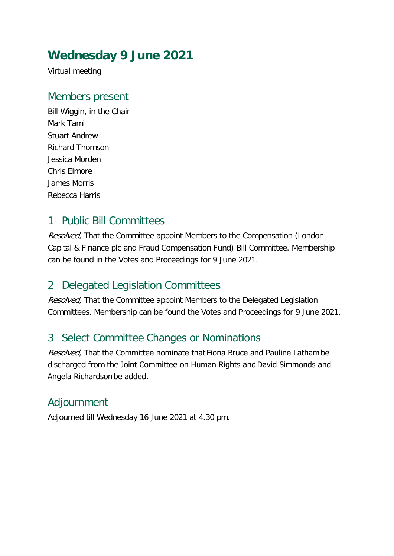### **Wednesday 9 June 2021**

Virtual meeting

#### Members present

Bill Wiggin, in the Chair Mark Tami Stuart Andrew Richard Thomson Jessica Morden Chris Elmore James Morris Rebecca Harris

#### 1 Public Bill Committees

Resolved, That the Committee appoint Members to the Compensation (London Capital & Finance plc and Fraud Compensation Fund) Bill Committee. Membership can be found in the Votes and Proceedings for 9 June 2021.

### 2 Delegated Legislation Committees

Resolved. That the Committee appoint Members to the Delegated Legislation Committees. Membership can be found the Votes and Proceedings for 9 June 2021.

#### 3 Select Committee Changes or Nominations

Resolved, That the Committee nominate that Fiona Bruce and Pauline Latham be discharged from the Joint Committee on Human Rights and David Simmonds and Angela Richardson be added.

#### Adjournment

Adjourned till Wednesday 16 June 2021 at 4.30 pm.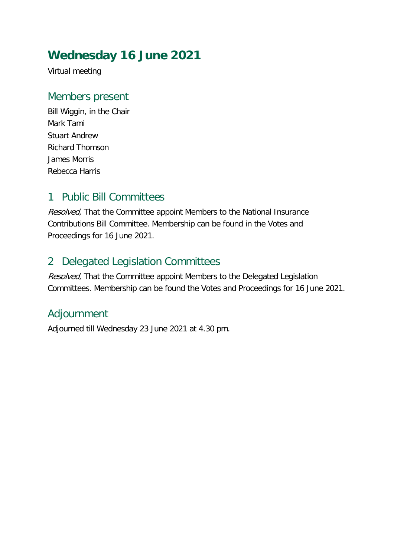### **Wednesday 16 June 2021**

Virtual meeting

#### Members present

Bill Wiggin, in the Chair Mark Tami Stuart Andrew Richard Thomson James Morris Rebecca Harris

#### 1 Public Bill Committees

Resolved, That the Committee appoint Members to the National Insurance Contributions Bill Committee. Membership can be found in the Votes and Proceedings for 16 June 2021.

### 2 Delegated Legislation Committees

Resolved, That the Committee appoint Members to the Delegated Legislation Committees. Membership can be found the Votes and Proceedings for 16 June 2021.

### Adjournment

Adjourned till Wednesday 23 June 2021 at 4.30 pm.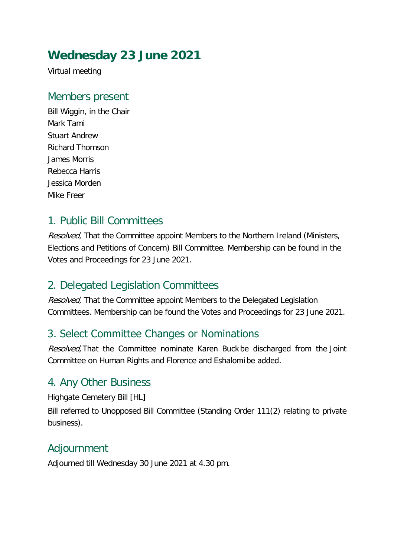### **Wednesday 23 June 2021**

Virtual meeting

#### Members present

Bill Wiggin, in the Chair Mark Tami Stuart Andrew Richard Thomson James Morris Rebecca Harris Jessica Morden Mike Freer

### 1. Public Bill Committees

Resolved, That the Committee appoint Members to the Northern Ireland (Ministers, Elections and Petitions of Concern) Bill Committee. Membership can be found in the Votes and Proceedings for 23 June 2021.

#### 2. Delegated Legislation Committees

Resolved. That the Committee appoint Members to the Delegated Legislation Committees. Membership can be found the Votes and Proceedings for 23 June 2021.

### 3. Select Committee Changes or Nominations

Resolved, That the Committee nominate Karen Buck be discharged from the Joint Committee on Human Rights and Florence and Eshalomi be added.

#### 4. Any Other Business

Highgate Cemetery Bill [HL]

Bill referred to Unopposed Bill Committee (Standing Order 111(2) relating to private business).

### Adjournment

Adjourned till Wednesday 30 June 2021 at 4.30 pm.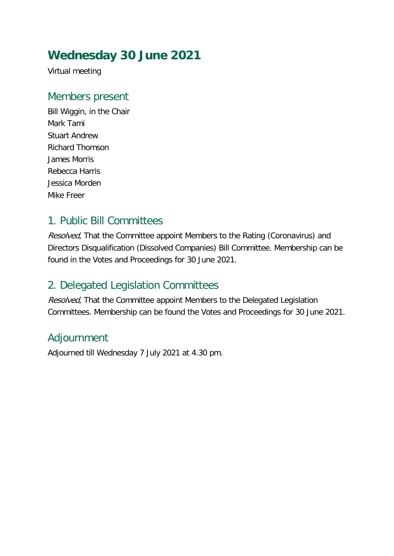## **Wednesday 30 June 2021**

Virtual meeting

#### Members present

Bill Wiggin, in the Chair Mark Tami Stuart Andrew Richard Thomson James Morris Rebecca Harris Jessica Morden Mike Freer

### 1. Public Bill Committees

Resolved, That the Committee appoint Members to the Rating (Coronavirus) and Directors Disqualification (Dissolved Companies) Bill Committee. Membership can be found in the Votes and Proceedings for 30 June 2021.

### 2. Delegated Legislation Committees

Resolved. That the Committee appoint Members to the Delegated Legislation Committees. Membership can be found the Votes and Proceedings for 30 June 2021.

### Adjournment

Adjourned till Wednesday 7 July 2021 at 4.30 pm.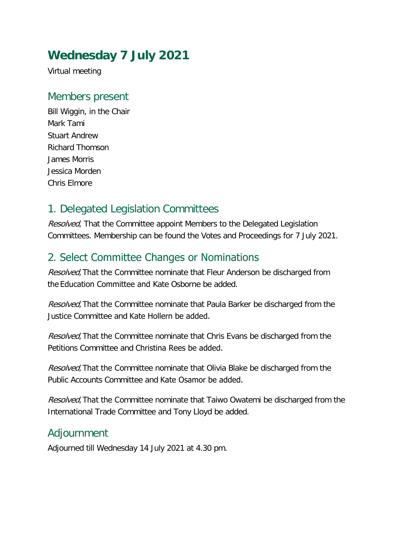## **Wednesday 7 July 2021**

Virtual meeting

#### Members present

Bill Wiggin, in the Chair Mark Tami Stuart Andrew Richard Thomson James Morris Jessica Morden Chris Elmore

### 1. Delegated Legislation Committees

Resolved, That the Committee appoint Members to the Delegated Legislation Committees. Membership can be found the Votes and Proceedings for 7 July 2021.

### 2. Select Committee Changes or Nominations

Resolved, That the Committee nominate that Fleur Anderson be discharged from the Education Committee and Kate Osborne be added.

Resolved, That the Committee nominate that Paula Barker be discharged from the Justice Committee and Kate Hollern be added. 

Resolved. That the Committee nominate that Chris Evans be discharged from the Petitions Committee and Christina Rees be added. 

Resolved, That the Committee nominate that Olivia Blake be discharged from the Public Accounts Committee and Kate Osamor be added. 

Resolved, That the Committee nominate that Taiwo Owatemi be discharged from the International Trade Committee and Tony Lloyd be added.

### Adjournment

Adjourned till Wednesday 14 July 2021 at 4.30 pm.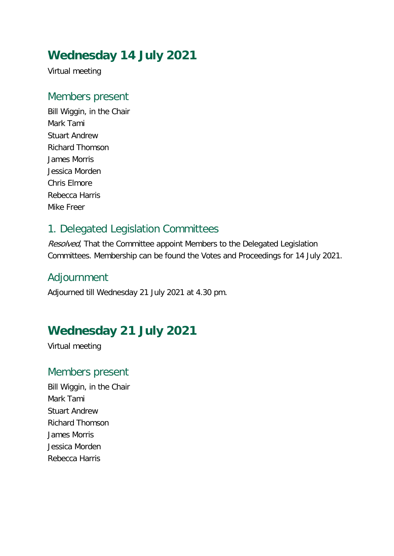## **Wednesday 14 July 2021**

Virtual meeting

#### Members present

Bill Wiggin, in the Chair Mark Tami Stuart Andrew Richard Thomson James Morris Jessica Morden Chris Elmore Rebecca Harris Mike Freer

#### 1. Delegated Legislation Committees

Resolved, That the Committee appoint Members to the Delegated Legislation Committees. Membership can be found the Votes and Proceedings for 14 July 2021.

#### Adjournment

Adjourned till Wednesday 21 July 2021 at 4.30 pm.

### **Wednesday 21 July 2021**

Virtual meeting

#### Members present

Bill Wiggin, in the Chair Mark Tami Stuart Andrew Richard Thomson James Morris Jessica Morden Rebecca Harris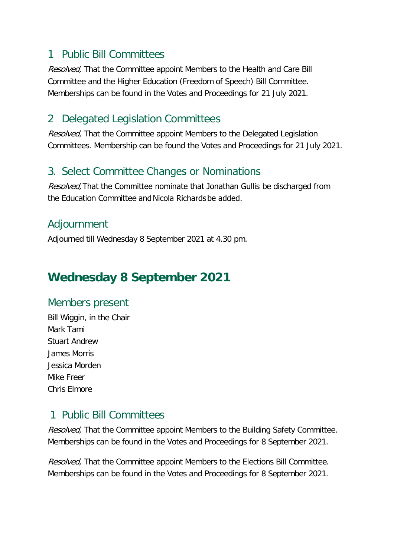#### 1 Public Bill Committees

Resolved, That the Committee appoint Members to the Health and Care Bill Committee and the Higher Education (Freedom of Speech) Bill Committee. Memberships can be found in the Votes and Proceedings for 21 July 2021.

#### 2 Delegated Legislation Committees

Resolved. That the Committee appoint Members to the Delegated Legislation Committees. Membership can be found the Votes and Proceedings for 21 July 2021.

#### 3. Select Committee Changes or Nominations

Resolved, That the Committee nominate that Jonathan Gullis be discharged from the Education Committee and Nicola Richards be added.

#### Adjournment

Adjourned till Wednesday 8 September 2021 at 4.30 pm.

## **Wednesday 8 September 2021**

#### Members present

Bill Wiggin, in the Chair Mark Tami Stuart Andrew James Morris Jessica Morden Mike Freer Chris Elmore

#### 1 Public Bill Committees

Resolved, That the Committee appoint Members to the Building Safety Committee. Memberships can be found in the Votes and Proceedings for 8 September 2021.

Resolved, That the Committee appoint Members to the Elections Bill Committee. Memberships can be found in the Votes and Proceedings for 8 September 2021.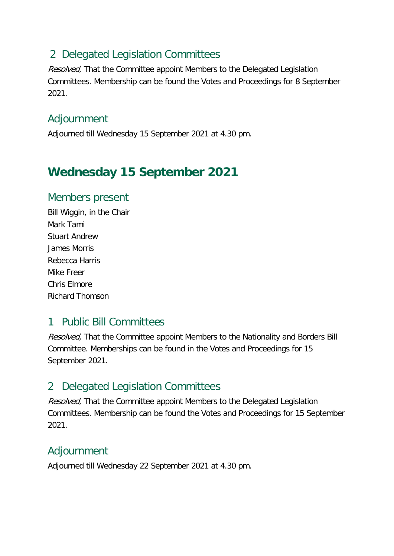### 2 Delegated Legislation Committees

Resolved, That the Committee appoint Members to the Delegated Legislation Committees. Membership can be found the Votes and Proceedings for 8 September 2021.

#### Adjournment

Adjourned till Wednesday 15 September 2021 at 4.30 pm.

### **Wednesday 15 September 2021**

#### Members present

Bill Wiggin, in the Chair Mark Tami Stuart Andrew James Morris Rebecca Harris Mike Freer Chris Elmore Richard Thomson

### 1 Public Bill Committees

Resolved, That the Committee appoint Members to the Nationality and Borders Bill Committee. Memberships can be found in the Votes and Proceedings for 15 September 2021.

### 2 Delegated Legislation Committees

Resolved. That the Committee appoint Members to the Delegated Legislation Committees. Membership can be found the Votes and Proceedings for 15 September 2021.

### Adjournment

Adjourned till Wednesday 22 September 2021 at 4.30 pm.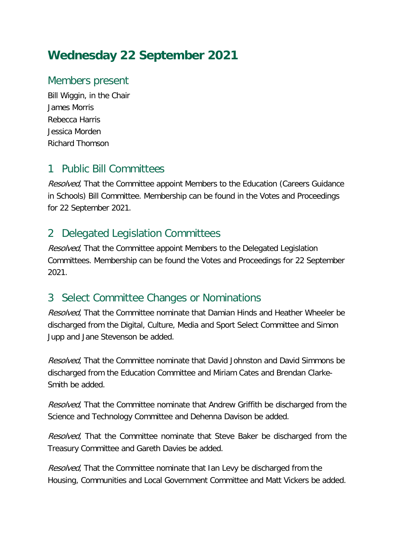### **Wednesday 22 September 2021**

#### Members present

Bill Wiggin, in the Chair James Morris Rebecca Harris Jessica Morden Richard Thomson

#### 1 Public Bill Committees

Resolved, That the Committee appoint Members to the Education (Careers Guidance in Schools) Bill Committee. Membership can be found in the Votes and Proceedings for 22 September 2021.

#### 2 Delegated Legislation Committees

Resolved, That the Committee appoint Members to the Delegated Legislation Committees. Membership can be found the Votes and Proceedings for 22 September 2021.

### 3 Select Committee Changes or Nominations

*Resolved*, That the Committee nominate that Damian Hinds and Heather Wheeler be discharged from the Digital, Culture, Media and Sport Select Committee and Simon Jupp and Jane Stevenson be added.

Resolved. That the Committee nominate that David Johnston and David Simmons be discharged from the Education Committee and Miriam Cates and Brendan Clarke-Smith be added.

Resolved, That the Committee nominate that Andrew Griffith be discharged from the Science and Technology Committee and Dehenna Davison be added.

Resolved, That the Committee nominate that Steve Baker be discharged from the Treasury Committee and Gareth Davies be added.

Resolved, That the Committee nominate that Ian Levy be discharged from the Housing, Communities and Local Government Committee and Matt Vickers be added.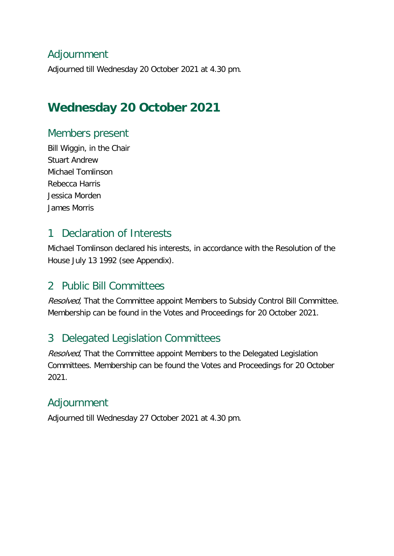#### Adjournment

Adjourned till Wednesday 20 October 2021 at 4.30 pm.

### **Wednesday 20 October 2021**

#### Members present

Bill Wiggin, in the Chair Stuart Andrew Michael Tomlinson Rebecca Harris Jessica Morden James Morris

#### 1 Declaration of Interests

Michael Tomlinson declared his interests, in accordance with the Resolution of the House July 13 1992 (see Appendix).

#### 2 Public Bill Committees

Resolved, That the Committee appoint Members to Subsidy Control Bill Committee. Membership can be found in the Votes and Proceedings for 20 October 2021.

### 3 Delegated Legislation Committees

Resolved, That the Committee appoint Members to the Delegated Legislation Committees. Membership can be found the Votes and Proceedings for 20 October 2021.

### Adjournment

Adjourned till Wednesday 27 October 2021 at 4.30 pm.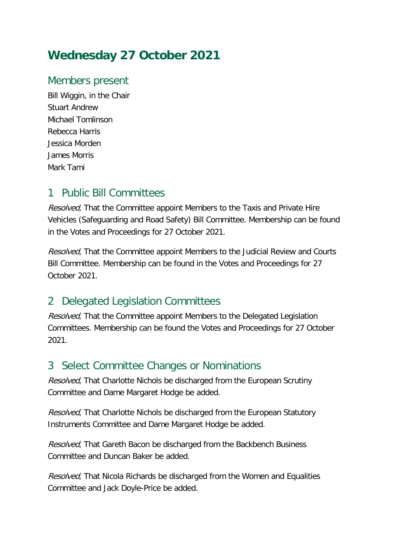### **Wednesday 27 October 2021**

#### Members present

Bill Wiggin, in the Chair Stuart Andrew Michael Tomlinson Rebecca Harris Jessica Morden James Morris Mark Tami

#### 1 Public Bill Committees

Resolved, That the Committee appoint Members to the Taxis and Private Hire Vehicles (Safeguarding and Road Safety) Bill Committee. Membership can be found in the Votes and Proceedings for 27 October 2021.

Resolved, That the Committee appoint Members to the Judicial Review and Courts Bill Committee. Membership can be found in the Votes and Proceedings for 27 October 2021.

### 2 Delegated Legislation Committees

Resolved. That the Committee appoint Members to the Delegated Legislation Committees. Membership can be found the Votes and Proceedings for 27 October 2021.

#### 3 Select Committee Changes or Nominations

Resolved, That Charlotte Nichols be discharged from the European Scrutiny Committee and Dame Margaret Hodge be added.

Resolved, That Charlotte Nichols be discharged from the European Statutory Instruments Committee and Dame Margaret Hodge be added.

Resolved, That Gareth Bacon be discharged from the Backbench Business Committee and Duncan Baker be added.

Resolved, That Nicola Richards be discharged from the Women and Equalities Committee and Jack Doyle-Price be added.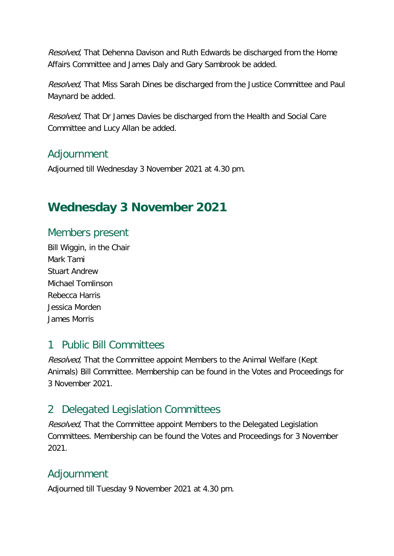Resolved, That Dehenna Davison and Ruth Edwards be discharged from the Home Affairs Committee and James Daly and Gary Sambrook be added.

Resolved, That Miss Sarah Dines be discharged from the Justice Committee and Paul Maynard be added.

Resolved, That Dr James Davies be discharged from the Health and Social Care Committee and Lucy Allan be added.

#### Adjournment

Adjourned till Wednesday 3 November 2021 at 4.30 pm.

### **Wednesday 3 November 2021**

#### Members present

Bill Wiggin, in the Chair Mark Tami Stuart Andrew Michael Tomlinson Rebecca Harris Jessica Morden James Morris

#### 1 Public Bill Committees

Resolved, That the Committee appoint Members to the Animal Welfare (Kept Animals) Bill Committee. Membership can be found in the Votes and Proceedings for 3 November 2021.

### 2 Delegated Legislation Committees

Resolved, That the Committee appoint Members to the Delegated Legislation Committees. Membership can be found the Votes and Proceedings for 3 November 2021.

#### Adjournment

Adjourned till Tuesday 9 November 2021 at 4.30 pm.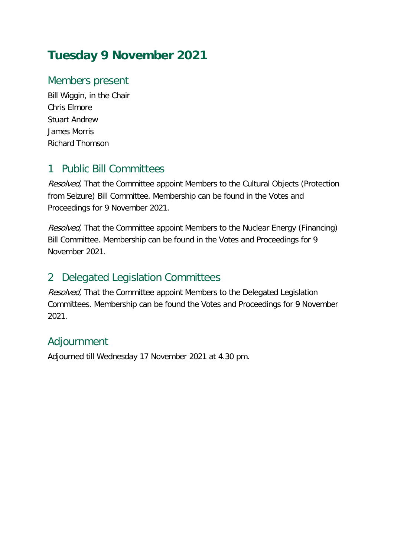### **Tuesday 9 November 2021**

#### Members present

Bill Wiggin, in the Chair Chris Elmore Stuart Andrew James Morris Richard Thomson

#### 1 Public Bill Committees

Resolved, That the Committee appoint Members to the Cultural Objects (Protection from Seizure) Bill Committee. Membership can be found in the Votes and Proceedings for 9 November 2021.

Resolved, That the Committee appoint Members to the Nuclear Energy (Financing) Bill Committee. Membership can be found in the Votes and Proceedings for 9 November 2021.

#### 2 Delegated Legislation Committees

Resolved, That the Committee appoint Members to the Delegated Legislation Committees. Membership can be found the Votes and Proceedings for 9 November 2021.

### Adjournment

Adjourned till Wednesday 17 November 2021 at 4.30 pm.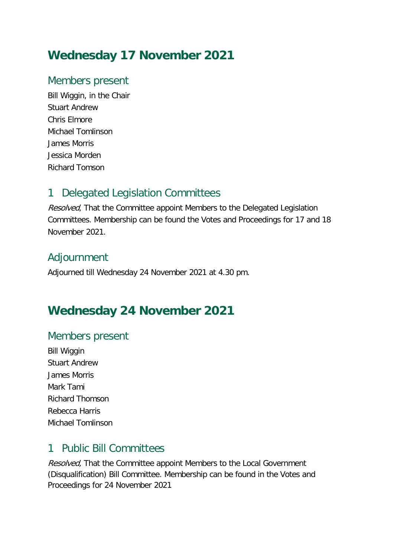### **Wednesday 17 November 2021**

#### Members present

Bill Wiggin, in the Chair Stuart Andrew Chris Elmore Michael Tomlinson James Morris Jessica Morden Richard Tomson

### 1 Delegated Legislation Committees

Resolved, That the Committee appoint Members to the Delegated Legislation Committees. Membership can be found the Votes and Proceedings for 17 and 18 November 2021.

#### Adjournment

Adjourned till Wednesday 24 November 2021 at 4.30 pm.

### **Wednesday 24 November 2021**

#### Members present

Bill Wiggin Stuart Andrew James Morris Mark Tami Richard Thomson Rebecca Harris Michael Tomlinson

#### 1 Public Bill Committees

Resolved, That the Committee appoint Members to the Local Government (Disqualification) Bill Committee. Membership can be found in the Votes and Proceedings for 24 November 2021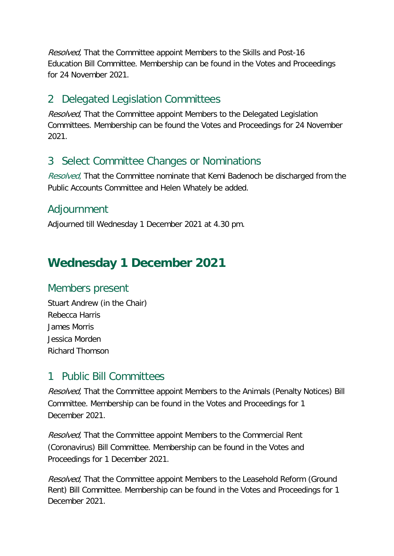Resolved, That the Committee appoint Members to the Skills and Post-16 Education Bill Committee. Membership can be found in the Votes and Proceedings for 24 November 2021.

#### 2 Delegated Legislation Committees

Resolved, That the Committee appoint Members to the Delegated Legislation Committees. Membership can be found the Votes and Proceedings for 24 November 2021.

#### 3 Select Committee Changes or Nominations

Resolved, That the Committee nominate that Kemi Badenoch be discharged from the Public Accounts Committee and Helen Whately be added.

#### Adjournment

Adjourned till Wednesday 1 December 2021 at 4.30 pm.

## **Wednesday 1 December 2021**

#### Members present

Stuart Andrew (in the Chair) Rebecca Harris James Morris Jessica Morden Richard Thomson

#### 1 Public Bill Committees

Resolved, That the Committee appoint Members to the Animals (Penalty Notices) Bill Committee. Membership can be found in the Votes and Proceedings for 1 December 2021.

Resolved, That the Committee appoint Members to the Commercial Rent (Coronavirus) Bill Committee. Membership can be found in the Votes and Proceedings for 1 December 2021.

Resolved, That the Committee appoint Members to the Leasehold Reform (Ground Rent) Bill Committee. Membership can be found in the Votes and Proceedings for 1 December 2021.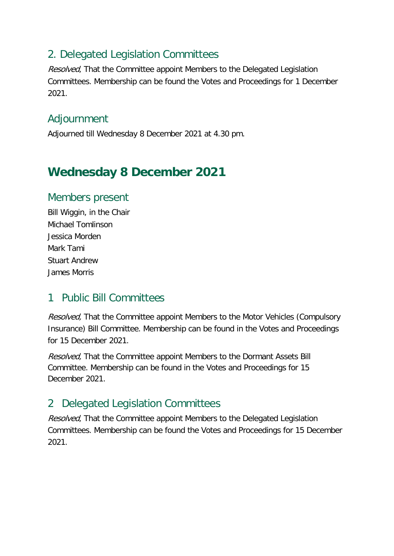#### 2. Delegated Legislation Committees

Resolved, That the Committee appoint Members to the Delegated Legislation Committees. Membership can be found the Votes and Proceedings for 1 December 2021.

#### Adjournment

Adjourned till Wednesday 8 December 2021 at 4.30 pm.

## **Wednesday 8 December 2021**

#### Members present

Bill Wiggin, in the Chair Michael Tomlinson Jessica Morden Mark Tami Stuart Andrew James Morris

### 1 Public Bill Committees

Resolved, That the Committee appoint Members to the Motor Vehicles (Compulsory Insurance) Bill Committee. Membership can be found in the Votes and Proceedings for 15 December 2021.

Resolved, That the Committee appoint Members to the Dormant Assets Bill Committee. Membership can be found in the Votes and Proceedings for 15 December 2021.

### 2 Delegated Legislation Committees

Resolved, That the Committee appoint Members to the Delegated Legislation Committees. Membership can be found the Votes and Proceedings for 15 December 2021.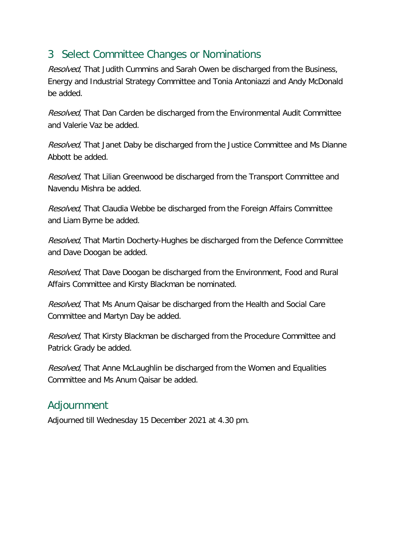#### 3 Select Committee Changes or Nominations

Resolved, That Judith Cummins and Sarah Owen be discharged from the Business, Energy and Industrial Strategy Committee and Tonia Antoniazzi and Andy McDonald be added.

Resolved. That Dan Carden be discharged from the Environmental Audit Committee and Valerie Vaz be added.

Resolved, That Janet Daby be discharged from the Justice Committee and Ms Dianne Abbott be added.

Resolved, That Lilian Greenwood be discharged from the Transport Committee and Navendu Mishra be added.

Resolved, That Claudia Webbe be discharged from the Foreign Affairs Committee and Liam Byrne be added.

Resolved, That Martin Docherty-Hughes be discharged from the Defence Committee and Dave Doogan be added.

Resolved, That Dave Doogan be discharged from the Environment, Food and Rural Affairs Committee and Kirsty Blackman be nominated.

Resolved, That Ms Anum Qaisar be discharged from the Health and Social Care Committee and Martyn Day be added.

Resolved, That Kirsty Blackman be discharged from the Procedure Committee and Patrick Grady be added.

Resolved, That Anne McLaughlin be discharged from the Women and Equalities Committee and Ms Anum Qaisar be added.

#### Adjournment

Adjourned till Wednesday 15 December 2021 at 4.30 pm.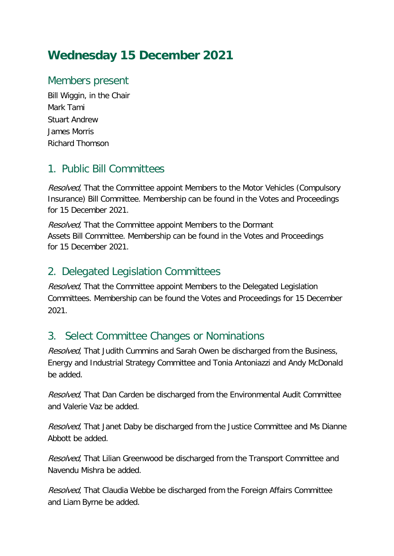### **Wednesday 15 December 2021**

#### Members present

Bill Wiggin, in the Chair Mark Tami Stuart Andrew James Morris Richard Thomson

#### 1. Public Bill Committees

Resolved, That the Committee appoint Members to the Motor Vehicles (Compulsory Insurance) Bill Committee. Membership can be found in the Votes and Proceedings for 15 December 2021.

Resolved, That the Committee appoint Members to the Dormant Assets Bill Committee. Membership can be found in the Votes and Proceedings for 15 December 2021.

#### 2. Delegated Legislation Committees

Resolved, That the Committee appoint Members to the Delegated Legislation Committees. Membership can be found the Votes and Proceedings for 15 December 2021.

#### 3. Select Committee Changes or Nominations

Resolved, That Judith Cummins and Sarah Owen be discharged from the Business, Energy and Industrial Strategy Committee and Tonia Antoniazzi and Andy McDonald be added.

Resolved, That Dan Carden be discharged from the Environmental Audit Committee and Valerie Vaz be added.

Resolved, That Janet Daby be discharged from the Justice Committee and Ms Dianne Abbott be added.

Resolved, That Lilian Greenwood be discharged from the Transport Committee and Navendu Mishra be added.

Resolved, That Claudia Webbe be discharged from the Foreign Affairs Committee and Liam Byrne be added.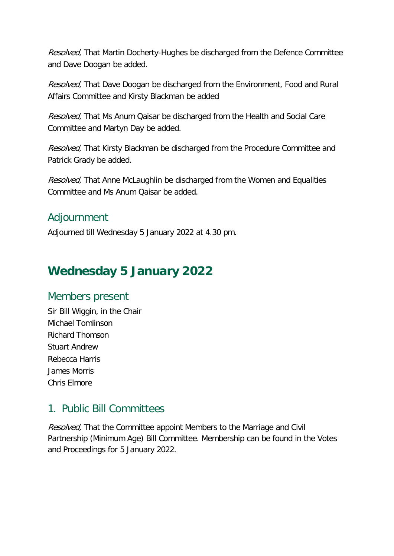Resolved, That Martin Docherty-Hughes be discharged from the Defence Committee and Dave Doogan be added.

Resolved, That Dave Doogan be discharged from the Environment, Food and Rural Affairs Committee and Kirsty Blackman be added

Resolved, That Ms Anum Qaisar be discharged from the Health and Social Care Committee and Martyn Day be added.

Resolved, That Kirsty Blackman be discharged from the Procedure Committee and Patrick Grady be added.

Resolved, That Anne McLaughlin be discharged from the Women and Equalities Committee and Ms Anum Qaisar be added.

#### Adjournment

Adjourned till Wednesday 5 January 2022 at 4.30 pm.

### **Wednesday 5 January 2022**

#### Members present

Sir Bill Wiggin, in the Chair Michael Tomlinson Richard Thomson Stuart Andrew Rebecca Harris James Morris Chris Elmore

### 1. Public Bill Committees

Resolved, That the Committee appoint Members to the Marriage and Civil Partnership (Minimum Age) Bill Committee. Membership can be found in the Votes and Proceedings for 5 January 2022.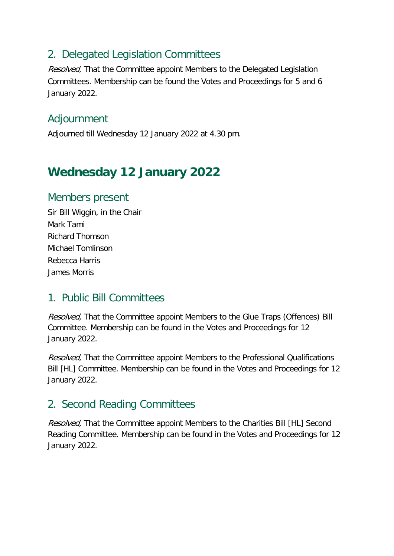#### 2. Delegated Legislation Committees

Resolved, That the Committee appoint Members to the Delegated Legislation Committees. Membership can be found the Votes and Proceedings for 5 and 6 January 2022.

#### Adjournment

Adjourned till Wednesday 12 January 2022 at 4.30 pm.

### **Wednesday 12 January 2022**

#### Members present

Sir Bill Wiggin, in the Chair Mark Tami Richard Thomson Michael Tomlinson Rebecca Harris James Morris

#### 1. Public Bill Committees

Resolved, That the Committee appoint Members to the Glue Traps (Offences) Bill Committee. Membership can be found in the Votes and Proceedings for 12 January 2022.

Resolved. That the Committee appoint Members to the Professional Qualifications Bill [HL] Committee. Membership can be found in the Votes and Proceedings for 12 January 2022.

#### 2. Second Reading Committees

Resolved, That the Committee appoint Members to the Charities Bill [HL] Second Reading Committee. Membership can be found in the Votes and Proceedings for 12 January 2022.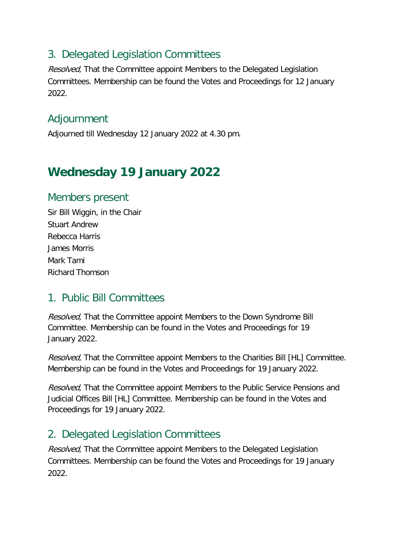#### 3. Delegated Legislation Committees

Resolved, That the Committee appoint Members to the Delegated Legislation Committees. Membership can be found the Votes and Proceedings for 12 January 2022.

#### Adjournment

Adjourned till Wednesday 12 January 2022 at 4.30 pm.

### **Wednesday 19 January 2022**

#### Members present

Sir Bill Wiggin, in the Chair Stuart Andrew Rebecca Harris James Morris Mark Tami Richard Thomson

#### 1. Public Bill Committees

Resolved, That the Committee appoint Members to the Down Syndrome Bill Committee. Membership can be found in the Votes and Proceedings for 19 January 2022.

Resolved. That the Committee appoint Members to the Charities Bill [HL] Committee. Membership can be found in the Votes and Proceedings for 19 January 2022.

Resolved, That the Committee appoint Members to the Public Service Pensions and Judicial Offices Bill [HL] Committee. Membership can be found in the Votes and Proceedings for 19 January 2022.

### 2. Delegated Legislation Committees

Resolved, That the Committee appoint Members to the Delegated Legislation Committees. Membership can be found the Votes and Proceedings for 19 January 2022.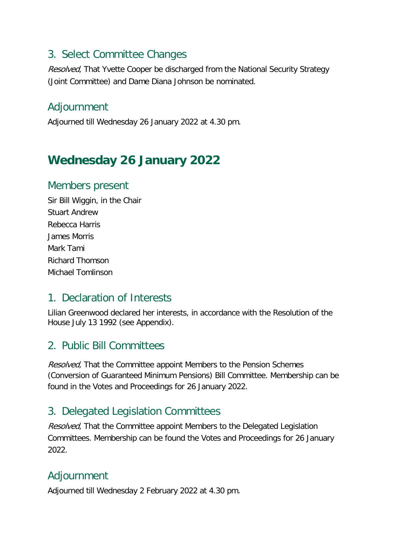#### 3. Select Committee Changes

Resolved, That Yvette Cooper be discharged from the National Security Strategy (Joint Committee) and Dame Diana Johnson be nominated.

#### Adjournment

Adjourned till Wednesday 26 January 2022 at 4.30 pm.

## **Wednesday 26 January 2022**

#### Members present

Sir Bill Wiggin, in the Chair Stuart Andrew Rebecca Harris James Morris Mark Tami Richard Thomson Michael Tomlinson

#### 1. Declaration of Interests

Lilian Greenwood declared her interests, in accordance with the Resolution of the House July 13 1992 (see Appendix).

#### 2. Public Bill Committees

Resolved, That the Committee appoint Members to the Pension Schemes (Conversion of Guaranteed Minimum Pensions) Bill Committee. Membership can be found in the Votes and Proceedings for 26 January 2022.

### 3. Delegated Legislation Committees

Resolved, That the Committee appoint Members to the Delegated Legislation Committees. Membership can be found the Votes and Proceedings for 26 January 2022.

### Adjournment

Adjourned till Wednesday 2 February 2022 at 4.30 pm.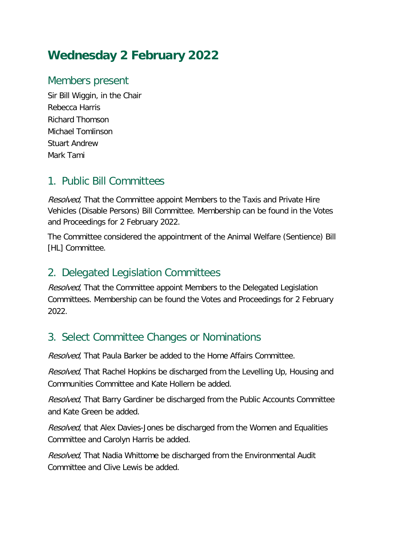## **Wednesday 2 February 2022**

#### Members present

Sir Bill Wiggin, in the Chair Rebecca Harris Richard Thomson Michael Tomlinson Stuart Andrew Mark Tami

#### 1. Public Bill Committees

Resolved. That the Committee appoint Members to the Taxis and Private Hire Vehicles (Disable Persons) Bill Committee. Membership can be found in the Votes and Proceedings for 2 February 2022.

The Committee considered the appointment of the Animal Welfare (Sentience) Bill [HL] Committee.

### 2. Delegated Legislation Committees

Resolved. That the Committee appoint Members to the Delegated Legislation Committees. Membership can be found the Votes and Proceedings for 2 February 2022.

### 3. Select Committee Changes or Nominations

Resolved, That Paula Barker be added to the Home Affairs Committee.

Resolved, That Rachel Hopkins be discharged from the Levelling Up, Housing and Communities Committee and Kate Hollern be added.

Resolved, That Barry Gardiner be discharged from the Public Accounts Committee and Kate Green be added.

Resolved, that Alex Davies-Jones be discharged from the Women and Equalities Committee and Carolyn Harris be added.

Resolved, That Nadia Whittome be discharged from the Environmental Audit Committee and Clive Lewis be added.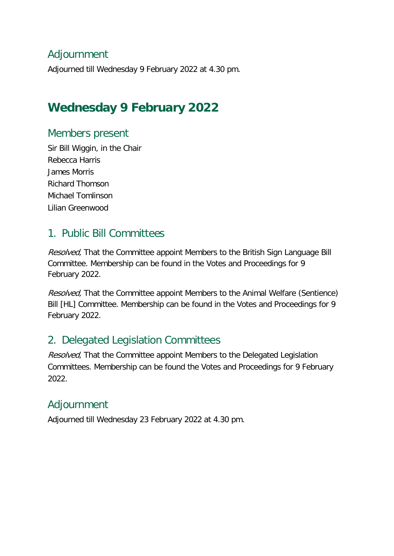#### Adjournment

Adjourned till Wednesday 9 February 2022 at 4.30 pm.

### **Wednesday 9 February 2022**

#### Members present

Sir Bill Wiggin, in the Chair Rebecca Harris James Morris Richard Thomson Michael Tomlinson Lilian Greenwood

#### 1. Public Bill Committees

Resolved, That the Committee appoint Members to the British Sign Language Bill Committee. Membership can be found in the Votes and Proceedings for 9 February 2022.

Resolved, That the Committee appoint Members to the Animal Welfare (Sentience) Bill [HL] Committee. Membership can be found in the Votes and Proceedings for 9 February 2022.

### 2. Delegated Legislation Committees

Resolved, That the Committee appoint Members to the Delegated Legislation Committees. Membership can be found the Votes and Proceedings for 9 February 2022.

#### Adjournment

Adjourned till Wednesday 23 February 2022 at 4.30 pm.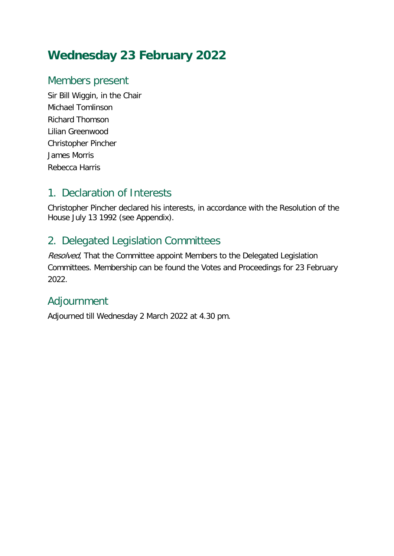## **Wednesday 23 February 2022**

#### Members present

Sir Bill Wiggin, in the Chair Michael Tomlinson Richard Thomson Lilian Greenwood Christopher Pincher James Morris Rebecca Harris

#### 1. Declaration of Interests

Christopher Pincher declared his interests, in accordance with the Resolution of the House July 13 1992 (see Appendix).

### 2. Delegated Legislation Committees

Resolved, That the Committee appoint Members to the Delegated Legislation Committees. Membership can be found the Votes and Proceedings for 23 February 2022.

### Adjournment

Adjourned till Wednesday 2 March 2022 at 4.30 pm.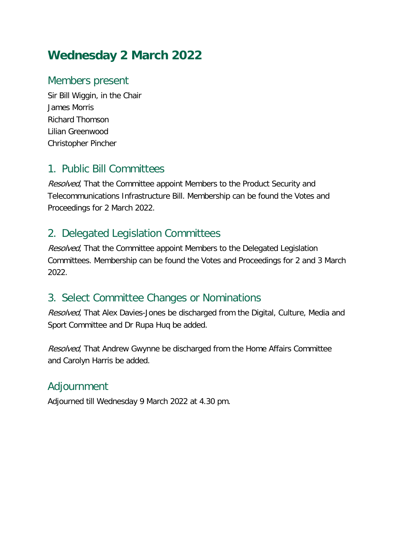## **Wednesday 2 March 2022**

#### Members present

Sir Bill Wiggin, in the Chair James Morris Richard Thomson Lilian Greenwood Christopher Pincher

#### 1. Public Bill Committees

Resolved, That the Committee appoint Members to the Product Security and Telecommunications Infrastructure Bill. Membership can be found the Votes and Proceedings for 2 March 2022.

#### 2. Delegated Legislation Committees

Resolved, That the Committee appoint Members to the Delegated Legislation Committees. Membership can be found the Votes and Proceedings for 2 and 3 March 2022.

#### 3. Select Committee Changes or Nominations

Resolved, That Alex Davies-Jones be discharged from the Digital, Culture, Media and Sport Committee and Dr Rupa Huq be added.

Resolved, That Andrew Gwynne be discharged from the Home Affairs Committee and Carolyn Harris be added.

#### Adjournment

Adjourned till Wednesday 9 March 2022 at 4.30 pm.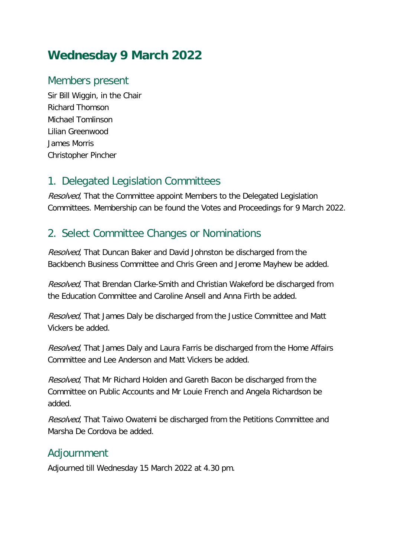## **Wednesday 9 March 2022**

#### Members present

Sir Bill Wiggin, in the Chair Richard Thomson Michael Tomlinson Lilian Greenwood James Morris Christopher Pincher

#### 1. Delegated Legislation Committees

Resolved, That the Committee appoint Members to the Delegated Legislation Committees. Membership can be found the Votes and Proceedings for 9 March 2022.

#### 2. Select Committee Changes or Nominations

Resolved, That Duncan Baker and David Johnston be discharged from the Backbench Business Committee and Chris Green and Jerome Mayhew be added.

Resolved, That Brendan Clarke-Smith and Christian Wakeford be discharged from the Education Committee and Caroline Ansell and Anna Firth be added.

Resolved, That James Daly be discharged from the Justice Committee and Matt Vickers be added.

Resolved, That James Daly and Laura Farris be discharged from the Home Affairs Committee and Lee Anderson and Matt Vickers be added.

Resolved, That Mr Richard Holden and Gareth Bacon be discharged from the Committee on Public Accounts and Mr Louie French and Angela Richardson be added.

Resolved, That Taiwo Owatemi be discharged from the Petitions Committee and Marsha De Cordova be added.

#### Adjournment

Adjourned till Wednesday 15 March 2022 at 4.30 pm.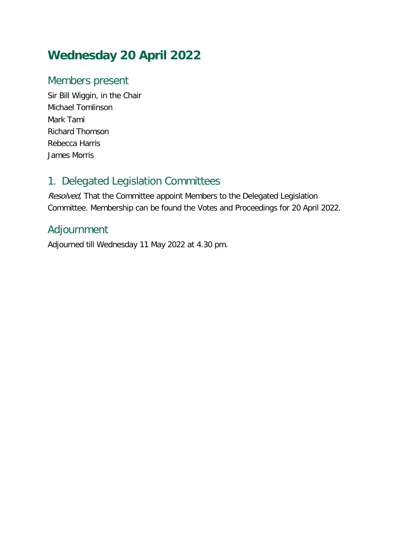## **Wednesday 20 April 2022**

#### Members present

Sir Bill Wiggin, in the Chair Michael Tomlinson Mark Tami Richard Thomson Rebecca Harris James Morris

#### 1. Delegated Legislation Committees

Resolved, That the Committee appoint Members to the Delegated Legislation Committee. Membership can be found the Votes and Proceedings for 20 April 2022.

#### Adjournment

Adjourned till Wednesday 11 May 2022 at 4.30 pm.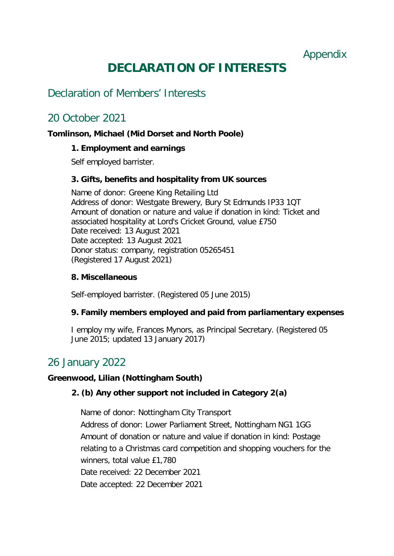Appendix

## **DECLARATION OF INTERESTS**

#### Declaration of Members' Interests

#### 20 October 2021

#### **Tomlinson, Michael (Mid Dorset and North Poole)**

#### **1. Employment and earnings**

Self employed barrister.

#### **3. Gifts, benefits and hospitality from UK sources**

Name of donor: Greene King Retailing Ltd Address of donor: Westgate Brewery, Bury St Edmunds IP33 1QT Amount of donation or nature and value if donation in kind: Ticket and associated hospitality at Lord's Cricket Ground, value £750 Date received: 13 August 2021 Date accepted: 13 August 2021 Donor status: company, registration 05265451 (Registered 17 August 2021)

#### **8. Miscellaneous**

Self-employed barrister. (Registered 05 June 2015)

#### **9. Family members employed and paid from parliamentary expenses**

I employ my wife, Frances Mynors, as Principal Secretary. (Registered 05 June 2015; updated 13 January 2017)

#### 26 January 2022

#### **Greenwood, Lilian (Nottingham South)**

#### **2. (b) Any other support not included in Category 2(a)**

Name of donor: Nottingham City Transport Address of donor: Lower Parliament Street, Nottingham NG1 1GG Amount of donation or nature and value if donation in kind: Postage relating to a Christmas card competition and shopping vouchers for the winners, total value £1,780 Date received: 22 December 2021 Date accepted: 22 December 2021